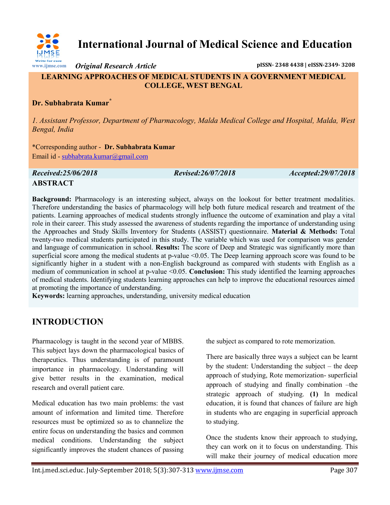

**International Journal of Medical Science and Education**

*Original Research Article* **pISSN- 2348 4438 | eISSN-2349- 3208**

## **LEARNING APPROACHES OF MEDICAL STUDENTS IN A GOVERNMENT MEDICAL COLLEGE, WEST BENGAL**

## **Dr. Subhabrata Kumar\***

*1. Assistant Professor, Department of Pharmacology, Malda Medical College and Hospital, Malda, West Bengal, India*

\*Corresponding author - **Dr. Subhabrata Kumar** Email id - [subhabrata.kumar@gmail.com](mailto:subhabrata.kumar@gmail.com)

*Received:25/06/2018 Revised:26/07/2018 Accepted:29/07/2018*

## **ABSTRACT**

**Background:** Pharmacology is an interesting subject, always on the lookout for better treatment modalities. Therefore understanding the basics of pharmacology will help both future medical research and treatment of the patients. Learning approaches of medical students strongly influence the outcome of examination and play a vital role in their career. This study assessed the awareness of students regarding the importance of understanding using the Approaches and Study Skills Inventory for Students (ASSIST) questionnaire. **Material & Methods:** Total twenty-two medical students participated in this study. The variable which was used for comparison was gender and language of communication in school. **Results:** The score of Deep and Strategic was significantly more than superficial score among the medical students at p-value <0.05. The Deep learning approach score was found to be significantly higher in a student with a non-English background as compared with students with English as a medium of communication in school at p-value <0.05. **Conclusion:** This study identified the learning approaches of medical students. Identifying students learning approaches can help to improve the educational resources aimed at promoting the importance of understanding.

**Keywords:** learning approaches, understanding, university medical education

# **INTRODUCTION**

Pharmacology is taught in the second year of MBBS. This subject lays down the pharmacological basics of therapeutics. Thus understanding is of paramount importance in pharmacology. Understanding will give better results in the examination, medical research and overall patient care.

Medical education has two main problems: the vast amount of information and limited time. Therefore resources must be optimized so as to channelize the entire focus on understanding the basics and common medical conditions. Understanding the subject significantly improves the student chances of passing

the subject as compared to rote memorization.

There are basically three ways a subject can be learnt by the student: Understanding the subject – the deep approach of studying, Rote memorization- superficial approach of studying and finally combination –the strategic approach of studying. **(1)** In medical education, it is found that chances of failure are high in students who are engaging in superficial approach to studying.

Once the students know their approach to studying, they can work on it to focus on understanding. This will make their journey of medical education more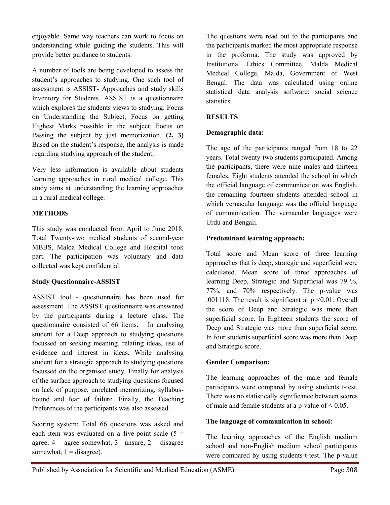enjoyable. Same way teachers can work to focus on understanding while guiding the students. This will provide better guidance to students.

A number of tools are being developed to assess the student's approaches to studying. One such tool of assessment is ASSIST- Approaches and study skills Inventory for Students. ASSIST is a questionnaire which explores the students views to studying: Focus on Understanding the Subject, Focus on getting Highest Marks possible in the subject, Focus on Passing the subject by just memorization. **(2, 3)** Based on the student's response, the analysis is made regarding studying approach of the student.

Very less information is available about students learning approaches in rural medical college. This study aims at understanding the learning approaches in a rural medical college.

## **METHODS**

This study was conducted from April to June 2018. Total Twenty-two medical students of second-year MBBS, Malda Medical College and Hospital took part. The participation was voluntary and data collected was kept confidential.

#### **Study Questionnaire-ASSIST**

ASSIST tool - questionnaire has been used for assessment. The ASSIST questionnaire was answered by the participants during a lecture class. The questionnaire consisted of 66 items. In analysing student for a Deep approach to studying questions focussed on seeking meaning, relating ideas, use of evidence and interest in ideas. While analysing student for a strategic approach to studying questions focussed on the organised study. Finally for analysis of the surface approach to studying questions focused on lack of purpose, unrelated memorizing, syllabusbound and fear of failure. Finally, the Teaching Preferences of the participants was also assessed.

Scoring system: Total 66 questions was asked and each item was evaluated on a five-point scale  $(5 =$ agree,  $4 =$  agree somewhat,  $3 =$  unsure,  $2 =$  disagree somewhat,  $1 =$  disagree).

The questions were read out to the participants and the participants marked the most appropriate response in the proforma. The study was approved by Institutional Ethics Committee, Malda Medical Medical College, Malda, Government of West Bengal. The data was calculated using online statistical data analysis software: social science statistics.

#### **RESULTS**

#### **Demographic data:**

The age of the participants ranged from 18 to 22 years. Total twenty-two students participated. Among the participants, there were nine males and thirteen females. Eight students attended the school in which the official language of communication was English, the remaining fourteen students attended school in which vernacular language was the official language of communication. The vernacular languages were Urdu and Bengali.

#### **Predominant learning approach:**

Total score and Mean score of three learning approaches that is deep, strategic and superficial were calculated. Mean score of three approaches of learning Deep, Strategic and Superficial was 79 %, 77%, and 70% respectively. The p-value was .001118. The result is significant at  $p \le 0.01$ . Overall the score of Deep and Strategic was more than superficial score. In Eighteen students the score of Deep and Strategic was more than superficial score. In four students superficial score was more than Deep and Strategic score.

#### **Gender Comparison:**

The learning approaches of the male and female participants were compared by using students t-test. There was no statistically significance between scores of male and female students at a p-value of < 0.05.

#### **The language of communication in school:**

The learning approaches of the English medium school and non-English medium school participants were compared by using students-t-test. The p-value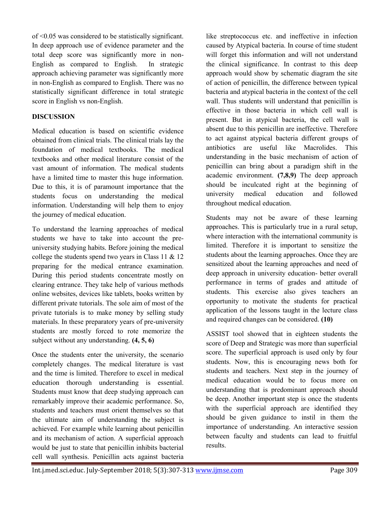of <0.05 was considered to be statistically significant. In deep approach use of evidence parameter and the total deep score was significantly more in non-English as compared to English. In strategic approach achieving parameter was significantly more in non-English as compared to English. There was no statistically significant difference in total strategic score in English vs non-English.

## **DISCUSSION**

Medical education is based on scientific evidence obtained from clinical trials. The clinical trials lay the foundation of medical textbooks. The medical textbooks and other medical literature consist of the vast amount of information. The medical students have a limited time to master this huge information. Due to this, it is of paramount importance that the students focus on understanding the medical information. Understanding will help them to enjoy the journey of medical education.

To understand the learning approaches of medical students we have to take into account the preuniversity studying habits. Before joining the medical college the students spend two years in Class 11 & 12 preparing for the medical entrance examination. During this period students concentrate mostly on clearing entrance. They take help of various methods online websites, devices like tablets, books written by different private tutorials. The sole aim of most of the private tutorials is to make money by selling study materials. In these preparatory years of pre-university students are mostly forced to rote memorize the subject without any understanding. **(4, 5, 6)**

Once the students enter the university, the scenario completely changes. The medical literature is vast and the time is limited. Therefore to excel in medical education thorough understanding is essential. Students must know that deep studying approach can remarkably improve their academic performance. So, students and teachers must orient themselves so that the ultimate aim of understanding the subject is achieved. For example while learning about penicillin and its mechanism of action. A superficial approach would be just to state that penicillin inhibits bacterial cell wall synthesis. Penicillin acts against bacteria

like streptococcus etc. and ineffective in infection caused by Atypical bacteria. In course of time student will forget this information and will not understand the clinical significance. In contrast to this deep approach would show by schematic diagram the site of action of penicillin, the difference between typical bacteria and atypical bacteria in the context of the cell wall. Thus students will understand that penicillin is effective in those bacteria in which cell wall is present. But in atypical bacteria, the cell wall is absent due to this penicillin are ineffective. Therefore to act against atypical bacteria different groups of antibiotics are useful like Macrolides. This understanding in the basic mechanism of action of penicillin can bring about a paradigm shift in the academic environment. **(7,8,9)** The deep approach should be inculcated right at the beginning of university medical education and followed throughout medical education.

Students may not be aware of these learning approaches. This is particularly true in a rural setup, where interaction with the international community is limited. Therefore it is important to sensitize the students about the learning approaches. Once they are sensitized about the learning approaches and need of deep approach in university education- better overall performance in terms of grades and attitude of students. This exercise also gives teachers an opportunity to motivate the students for practical application of the lessons taught in the lecture class and required changes can be considered. **(10)**

ASSIST tool showed that in eighteen students the score of Deep and Strategic was more than superficial score. The superficial approach is used only by four students. Now, this is encouraging news both for students and teachers. Next step in the journey of medical education would be to focus more on understanding that is predominant approach should be deep. Another important step is once the students with the superficial approach are identified they should be given guidance to instil in them the importance of understanding. An interactive session between faculty and students can lead to fruitful results.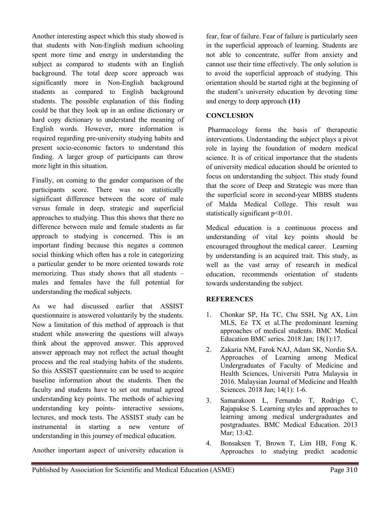Another interesting aspect which this study showed is that students with Non-English medium schooling spent more time and energy in understanding the subject as compared to students with an English background. The total deep score approach was significantly more in Non-English background students as compared to English background students. The possible explanation of this finding could be that they look up in an online dictionary or hard copy dictionary to understand the meaning of English words. However, more information is required regarding pre-university studying habits and present socio-economic factors to understand this finding. A larger group of participants can throw more light in this situation.

Finally, on coming to the gender comparison of the participants score. There was no statistically significant difference between the score of male versus female in deep, strategic and superficial approaches to studying. Thus this shows that there no difference between male and female students as far approach to studying is concerned. This is an important finding because this negates a common social thinking which often has a role in categorizing a particular gender to be more oriented towards rote memorizing. Thus study shows that all students – males and females have the full potential for understanding the medical subjects.

As we had discussed earlier that ASSIST questionnaire is answered voluntarily by the students. Now a limitation of this method of approach is that student while answering the questions will always think about the approved answer. This approved answer approach may not reflect the actual thought process and the real studying habits of the students. So this ASSIST questionnaire can be used to acquire baseline information about the students. Then the faculty and students have to set out mutual agreed understanding key points. The methods of achieving understanding key points- interactive sessions, lectures, and mock tests. The ASSIST study can be instrumental in starting a new venture of understanding in this journey of medical education.

Another important aspect of university education is

fear, fear of failure. Fear of failure is particularly seen in the superficial approach of learning. Students are not able to concentrate, suffer from anxiety and cannot use their time effectively. The only solution is to avoid the superficial approach of studying. This orientation should be started right at the beginning of the student's university education by devoting time and energy to deep approach **(11)**

## **CONCLUSION**

Pharmacology forms the basis of therapeutic interventions. Understanding the subject plays a pivot role in laying the foundation of modern medical science. It is of critical importance that the students of university medical education should be oriented to focus on understanding the subject. This study found that the score of Deep and Strategic was more than the superficial score in second-year MBBS students of Malda Medical College. This result was statistically significant p<0.01.

Medical education is a continuous process and understanding of vital key points should be encouraged throughout the medical career. Learning by understanding is an acquired trait. This study, as well as the vast array of research in medical education, recommends orientation of students towards understanding the subject.

#### **REFERENCES**

- 1. Chonkar SP, Ha TC, Chu SSH, Ng AX, Lim MLS, Ee TX et al.The predominant learning approaches of medical students. BMC Medical Education BMC series. 2018 Jan; 18(1):17.
- 2. Zakaria NM, Farok NAJ, Adam SK, Nordin SA. Approaches of Learning among Medical Undergraduates of Faculty of Medicine and Health Sciences, Universiti Putra Malaysia in 2016. Malaysian Journal of Medicine and Health Sciences. 2018 Jan; 14(1): 1-6.
- 3. Samarakoon L, Fernando T, Rodrigo C, Rajapakse S. Learning styles and approaches to learning among medical undergraduates and postgraduates. BMC Medical Education. 2013 Mar; 13:42.
- 4. Bonsaksen T, Brown T, Lim HB, Fong K. Approaches to studying predict academic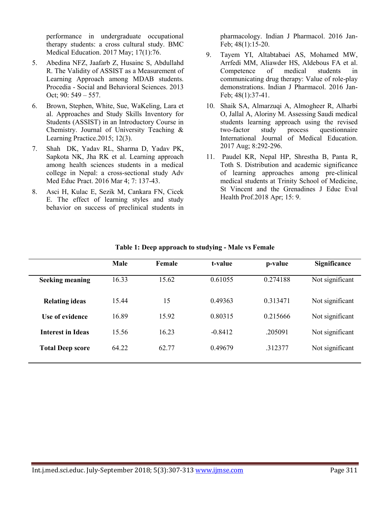performance in undergraduate occupational therapy students: a cross cultural study. BMC Medical Education. 2017 May; 17(1):76.

- 5. Abedina NFZ, Jaafarb Z, Husainc S, Abdullahd R. The Validity of ASSIST as a Measurement of Learning Approach among MDAB students. Procedia - Social and Behavioral Sciences. 2013 Oct; 90: 549 – 557.
- 6. Brown, Stephen, White, Sue, WaKeling, Lara et al. Approaches and Study Skills Inventory for Students (ASSIST) in an Introductory Course in Chemistry. Journal of University Teaching & Learning Practice.2015; 12(3).
- 7. Shah DK, Yadav RL, Sharma D, Yadav PK, Sapkota NK, Jha RK et al. Learning approach among health sciences students in a medical college in Nepal: a cross-sectional study Adv Med Educ Pract. 2016 Mar 4; 7: 137-43.
- 8. Asci H, Kulac E, Sezik M, Cankara FN, Cicek E. The effect of learning styles and study behavior on success of preclinical students in

pharmacology. Indian J Pharmacol. 2016 Jan-Feb; 48(1):15-20.

- 9. Tayem YI, Altabtabaei AS, Mohamed MW, Arrfedi MM, Aliawder HS, Aldebous FA et al. Competence of medical students in communicating drug therapy: Value of role-play demonstrations. Indian J Pharmacol. 2016 Jan-Feb; 48(1):37-41.
- 10. Shaik SA, Almarzuqi A, Almogheer R, Alharbi O, Jallal A, Aloriny M. Assessing Saudi medical students learning approach using the revised two-factor study process questionnaire International Journal of Medical Education. 2017 Aug; 8:292-296.
- 11. Paudel KR, Nepal HP, Shrestha B, Panta R, Toth S. Distribution and academic significance of learning approaches among pre-clinical medical students at Trinity School of Medicine, St Vincent and the Grenadines J Educ Eval Health Prof.2018 Apr; 15: 9.

|                          | Male  | Female | t-value   | p-value       | <b>Significance</b> |
|--------------------------|-------|--------|-----------|---------------|---------------------|
| <b>Seeking meaning</b>   | 16.33 | 15.62  | 0.61055   | 0.274188      | Not significant     |
| <b>Relating ideas</b>    | 1544  | 15     | 0.49363   | 0 3 1 3 4 7 1 | Not significant     |
| Use of evidence          | 16.89 | 1592   | 0.80315   | 0 215666      | Not significant     |
| <b>Interest in Ideas</b> | 15.56 | 1623   | $-0.8412$ | .205091       | Not significant     |
| <b>Total Deep score</b>  | 64.22 | 62.77  | 0.49679   | 312377        | Not significant     |
|                          |       |        |           |               |                     |

#### **Table 1: Deep approach to studying - Male vs Female**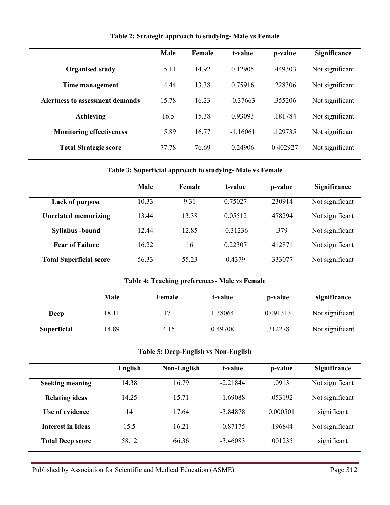|                                 | <b>Male</b> | Female | t-value    | p-value  | Significance    |
|---------------------------------|-------------|--------|------------|----------|-----------------|
| <b>Organised study</b>          | 15.11       | 14.92  | 0.12905    | .449303  | Not significant |
| Time management                 | 14.44       | 13.38  | 0.75916    | .228306  | Not significant |
| Alertness to assessment demands | 15.78       | 1623   | $-0.37663$ | .355206  | Not significant |
| Achieving                       | 16.5        | 15.38  | 0.93093    | .181784  | Not significant |
| <b>Monitoring effectiveness</b> | 15.89       | 16.77  | $-1.16061$ | .129735  | Not significant |
| <b>Total Strategic score</b>    | 77 78       | 76.69  | 0.24906    | 0.402927 | Not significant |

**Table 2: Strategic approach to studying- Male vs Female**

#### **Table 3: Superficial approach to studying- Male vs Female**

|                                | Male  | Female | t-value    | p-value | Significance    |
|--------------------------------|-------|--------|------------|---------|-----------------|
| <b>Lack of purpose</b>         | 10.33 | 9.31   | 0.75027    | .230914 | Not significant |
| <b>Unrelated memorizing</b>    | 13.44 | 13.38  | 0.05512    | 478294  | Not significant |
| <b>Syllabus</b> -bound         | 12.44 | 12.85  | $-0.31236$ | .379    | Not significant |
| <b>Fear of Failure</b>         | 16.22 | 16     | 0.22307    | .412871 | Not significant |
| <b>Total Superficial score</b> | 56.33 | 55.23  | 0.4379     | .333077 | Not significant |

#### **Table 4: Teaching preferences- Male vs Female**

|                    | Male  | Female | t-value | p-value  | significance    |
|--------------------|-------|--------|---------|----------|-----------------|
| Deep               | 18.11 |        | .38064  | 0.091313 | Not significant |
| <b>Superficial</b> | 14.89 | 14.15  | 0.49708 | .312278  | Not significant |

## **Table 5: Deep-English vs Non-English**

|                          | <b>English</b> | Non-English | t-value    | p-value  | <b>Significance</b> |
|--------------------------|----------------|-------------|------------|----------|---------------------|
| <b>Seeking meaning</b>   | 14.38          | 16.79       | $-221844$  | 0913     | Not significant     |
| <b>Relating ideas</b>    | 14.25          | 15.71       | $-1.69088$ | .053192  | Not significant     |
| Use of evidence          | 14             | 17.64       | $-3.84878$ | 0.000501 | significant         |
| <b>Interest in Ideas</b> | 15.5           | 16.21       | $-0.87175$ | .196844  | Not significant     |
| <b>Total Deep score</b>  | 58.12          | 66.36       | $-3.46083$ | .001235  | significant         |
|                          |                |             |            |          |                     |